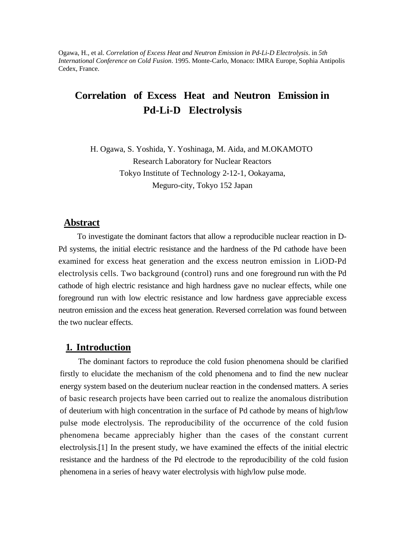Ogawa, H., et al. *Correlation of Excess Heat and Neutron Emission in Pd-Li-D Electrolysis*. in *5th International Conference on Cold Fusion*. 1995. Monte-Carlo, Monaco: IMRA Europe, Sophia Antipolis Cedex, France.

# **Correlation of Excess Heat and Neutron Emission in Pd-Li-D Electrolysis**

H. Ogawa, S. Yoshida, Y. Yoshinaga, M. Aida, and M.OKAMOTO Research Laboratory for Nuclear Reactors Tokyo Institute of Technology 2-12-1, Ookayama, Meguro-city, Tokyo 152 Japan

#### **Abstract**

To investigate the dominant factors that allow a reproducible nuclear reaction in D-Pd systems, the initial electric resistance and the hardness of the Pd cathode have been examined for excess heat generation and the excess neutron emission in LiOD-Pd electrolysis cells. Two background (control) runs and one foreground run with the Pd cathode of high electric resistance and high hardness gave no nuclear effects, while one foreground run with low electric resistance and low hardness gave appreciable excess neutron emission and the excess heat generation. Reversed correlation was found between the two nuclear effects.

### **1. Introduction**

The dominant factors to reproduce the cold fusion phenomena should be clarified firstly to elucidate the mechanism of the cold phenomena and to find the new nuclear energy system based on the deuterium nuclear reaction in the condensed matters. A series of basic research projects have been carried out to realize the anomalous distribution of deuterium with high concentration in the surface of Pd cathode by means of high/low pulse mode electrolysis. The reproducibility of the occurrence of the cold fusion phenomena became appreciably higher than the cases of the constant current electrolysis.[1] In the present study, we have examined the effects of the initial electric resistance and the hardness of the Pd electrode to the reproducibility of the cold fusion phenomena in a series of heavy water electrolysis with high/low pulse mode.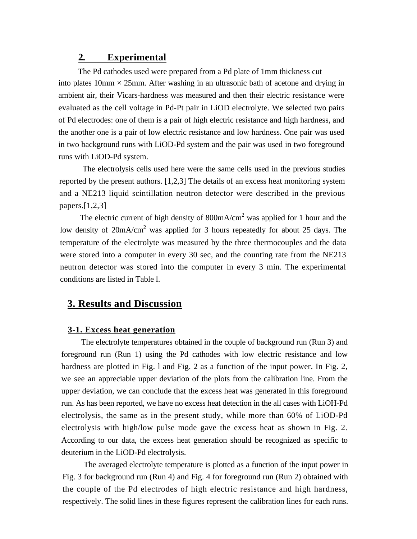### **2. Experimental**

The Pd cathodes used were prepared from a Pd plate of 1mm thickness cut into plates  $10 \text{mm} \times 25 \text{mm}$ . After washing in an ultrasonic bath of acetone and drying in ambient air, their Vicars-hardness was measured and then their electric resistance were evaluated as the cell voltage in Pd-Pt pair in LiOD electrolyte. We selected two pairs of Pd electrodes: one of them is a pair of high electric resistance and high hardness, and the another one is a pair of low electric resistance and low hardness. One pair was used in two background runs with LiOD-Pd system and the pair was used in two foreground runs with LiOD-Pd system.

The electrolysis cells used here were the same cells used in the previous studies reported by the present authors. [1,2,3] The details of an excess heat monitoring system and a NE213 liquid scintillation neutron detector were described in the previous papers.[1,2,3]

The electric current of high density of  $800 \text{mA/cm}^2$  was applied for 1 hour and the low density of 20mA/cm<sup>2</sup> was applied for 3 hours repeatedly for about 25 days. The temperature of the electrolyte was measured by the three thermocouples and the data were stored into a computer in every 30 sec, and the counting rate from the NE213 neutron detector was stored into the computer in every 3 min. The experimental conditions are listed in Table l.

# **3. Results and Discussion**

#### **3-1. Excess heat generation**

The electrolyte temperatures obtained in the couple of background run (Run 3) and foreground run (Run 1) using the Pd cathodes with low electric resistance and low hardness are plotted in Fig. 1 and Fig. 2 as a function of the input power. In Fig. 2, we see an appreciable upper deviation of the plots from the calibration line. From the upper deviation, we can conclude that the excess heat was generated in this foreground run. As has been reported, we have no excess heat detection in the all cases with LiOH-Pd electrolysis, the same as in the present study, while more than 60% of LiOD-Pd electrolysis with high/low pulse mode gave the excess heat as shown in Fig. 2. According to our data, the excess heat generation should be recognized as specific to deuterium in the LiOD-Pd electrolysis.

The averaged electrolyte temperature is plotted as a function of the input power in Fig. 3 for background run (Run 4) and Fig. 4 for foreground run (Run 2) obtained with the couple of the Pd electrodes of high electric resistance and high hardness, respectively. The solid lines in these figures represent the calibration lines for each runs.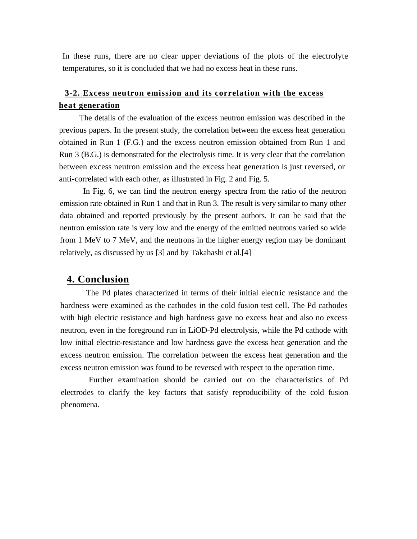In these runs, there are no clear upper deviations of the plots of the electrolyte temperatures, so it is concluded that we had no excess heat in these runs.

### **3-2. Excess neutron emission and its correlation with the excess heat generation**

The details of the evaluation of the excess neutron emission was described in the previous papers. In the present study, the correlation between the excess heat generation obtained in Run 1 (F.G.) and the excess neutron emission obtained from Run 1 and Run 3 (B.G.) is demonstrated for the electrolysis time. It is very clear that the correlation between excess neutron emission and the excess heat generation is just reversed, or anti-correlated with each other, as illustrated in Fig. 2 and Fig. 5.

In Fig. 6, we can find the neutron energy spectra from the ratio of the neutron emission rate obtained in Run 1 and that in Run 3. The result is very similar to many other data obtained and reported previously by the present authors. It can be said that the neutron emission rate is very low and the energy of the emitted neutrons varied so wide from 1 MeV to 7 MeV, and the neutrons in the higher energy region may be dominant relatively, as discussed by us [3] and by Takahashi et al.[4]

# **4. Conclusion**

The Pd plates characterized in terms of their initial electric resistance and the hardness were examined as the cathodes in the cold fusion test cell. The Pd cathodes with high electric resistance and high hardness gave no excess heat and also no excess neutron, even in the foreground run in LiOD-Pd electrolysis, while the Pd cathode with low initial electric-resistance and low hardness gave the excess heat generation and the excess neutron emission. The correlation between the excess heat generation and the excess neutron emission was found to be reversed with respect to the operation time.

Further examination should be carried out on the characteristics of Pd electrodes to clarify the key factors that satisfy reproducibility of the cold fusion phenomena.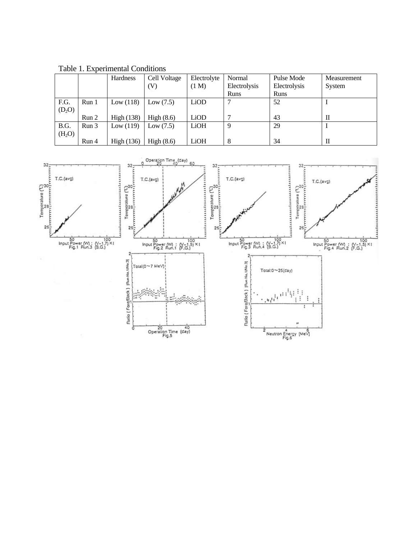|                    |                  | Hardness          | Cell Voltage               | Electrolyte | Normal       | Pulse Mode   | Measurement |
|--------------------|------------------|-------------------|----------------------------|-------------|--------------|--------------|-------------|
|                    |                  |                   | $\left( \mathrm{V}\right)$ | (1 M)       | Electrolysis | Electrolysis | System      |
|                    |                  |                   |                            |             | Runs         | Runs         |             |
| F.G.               | Run 1            | Low $(118)$       | Low $(7.5)$                | LiOD        | ⇁            | 52           |             |
| $(D_2O)$           |                  |                   |                            |             |              |              |             |
|                    | Run 2            | <b>High</b> (138) | High $(8.6)$               | LiOD        |              | 43           | П           |
| B.G.               | Run <sub>3</sub> | Low(119)          | Low $(7.5)$                | LiOH        | 9            | 29           |             |
| (H <sub>2</sub> O) |                  |                   |                            |             |              |              |             |
|                    | Run 4            | High $(136)$      | High $(8.6)$               | LiOH        | 8            | 34           | П           |

Table 1. Experimental Conditions